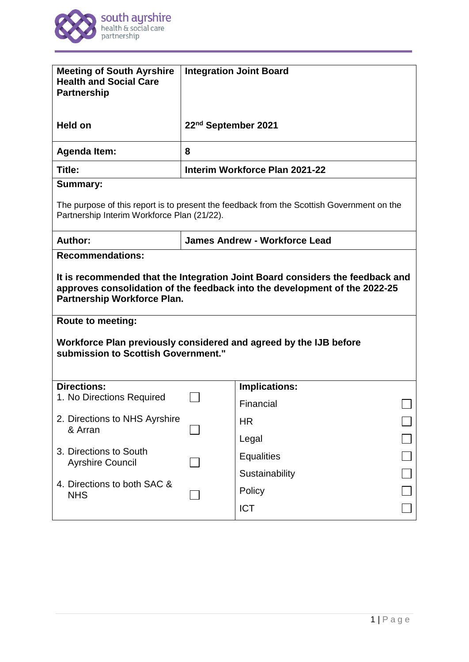

| <b>Meeting of South Ayrshire</b><br><b>Health and Social Care</b><br><b>Partnership</b>                                                                                                                                                                                                                                                   | <b>Integration Joint Board</b>       |                      |  |
|-------------------------------------------------------------------------------------------------------------------------------------------------------------------------------------------------------------------------------------------------------------------------------------------------------------------------------------------|--------------------------------------|----------------------|--|
| Held on                                                                                                                                                                                                                                                                                                                                   | 22 <sup>nd</sup> September 2021      |                      |  |
| <b>Agenda Item:</b>                                                                                                                                                                                                                                                                                                                       | 8                                    |                      |  |
| Title:                                                                                                                                                                                                                                                                                                                                    | Interim Workforce Plan 2021-22       |                      |  |
| <b>Summary:</b>                                                                                                                                                                                                                                                                                                                           |                                      |                      |  |
| The purpose of this report is to present the feedback from the Scottish Government on the<br>Partnership Interim Workforce Plan (21/22).                                                                                                                                                                                                  |                                      |                      |  |
| Author:                                                                                                                                                                                                                                                                                                                                   | <b>James Andrew - Workforce Lead</b> |                      |  |
| It is recommended that the Integration Joint Board considers the feedback and<br>approves consolidation of the feedback into the development of the 2022-25<br><b>Partnership Workforce Plan.</b><br><b>Route to meeting:</b><br>Workforce Plan previously considered and agreed by the IJB before<br>submission to Scottish Government." |                                      |                      |  |
| <b>Directions:</b><br>1. No Directions Required                                                                                                                                                                                                                                                                                           |                                      | <b>Implications:</b> |  |
|                                                                                                                                                                                                                                                                                                                                           |                                      | Financial            |  |
| 2. Directions to NHS Ayrshire<br>& Arran                                                                                                                                                                                                                                                                                                  |                                      | <b>HR</b>            |  |
|                                                                                                                                                                                                                                                                                                                                           |                                      | Legal                |  |
| 3. Directions to South<br><b>Ayrshire Council</b>                                                                                                                                                                                                                                                                                         |                                      | <b>Equalities</b>    |  |
| 4. Directions to both SAC &<br><b>NHS</b>                                                                                                                                                                                                                                                                                                 |                                      | Sustainability       |  |
|                                                                                                                                                                                                                                                                                                                                           |                                      | Policy               |  |
|                                                                                                                                                                                                                                                                                                                                           |                                      | <b>ICT</b>           |  |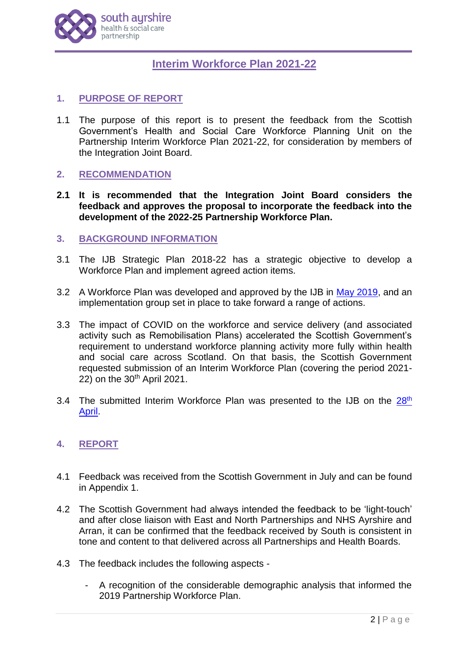

# **Interim Workforce Plan 2021-22**

## **1. PURPOSE OF REPORT**

1.1 The purpose of this report is to present the feedback from the Scottish Government's Health and Social Care Workforce Planning Unit on the Partnership Interim Workforce Plan 2021-22, for consideration by members of the Integration Joint Board.

## **2. RECOMMENDATION**

**2.1 It is recommended that the Integration Joint Board considers the feedback and approves the proposal to incorporate the feedback into the development of the 2022-25 Partnership Workforce Plan.**

## **3. BACKGROUND INFORMATION**

- 3.1 The IJB Strategic Plan 2018-22 has a strategic objective to develop a Workforce Plan and implement agreed action items.
- 3.2 A Workforce Plan was developed and approved by the IJB in [May 2019,](https://www.south-ayrshire.gov.uk/health-social-care-partnership/documents/item%205%20-%20wfp%20ijb%202019%2005%2016.pdf) and an implementation group set in place to take forward a range of actions.
- 3.3 The impact of COVID on the workforce and service delivery (and associated activity such as Remobilisation Plans) accelerated the Scottish Government's requirement to understand workforce planning activity more fully within health and social care across Scotland. On that basis, the Scottish Government requested submission of an Interim Workforce Plan (covering the period 2021- 22) on the 30<sup>th</sup> April 2021.
- 3.4 The submitted Interim Workforce Plan was presented to the IJB on the  $28<sup>th</sup>$ [April.](https://www.south-ayrshire.gov.uk/health-social-care-partnership/documents/item%206%20-%20interim%20workforce%20plan%20cover%20report%20ijb%202021%2004%2028.pdf)

## **4. REPORT**

- 4.1 Feedback was received from the Scottish Government in July and can be found in Appendix 1.
- 4.2 The Scottish Government had always intended the feedback to be 'light-touch' and after close liaison with East and North Partnerships and NHS Ayrshire and Arran, it can be confirmed that the feedback received by South is consistent in tone and content to that delivered across all Partnerships and Health Boards.
- 4.3 The feedback includes the following aspects
	- A recognition of the considerable demographic analysis that informed the 2019 Partnership Workforce Plan.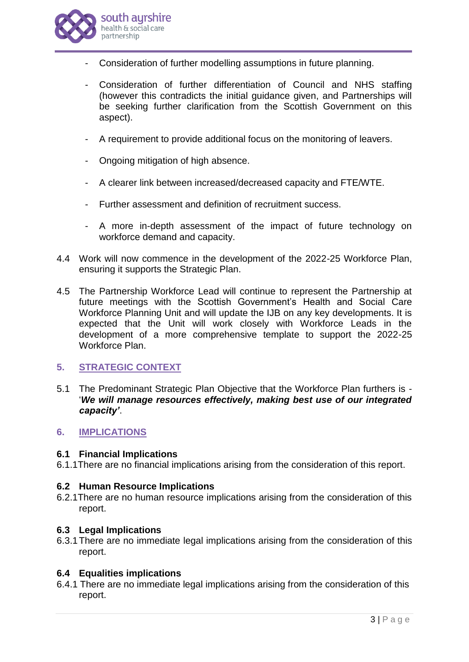

- Consideration of further modelling assumptions in future planning.
- Consideration of further differentiation of Council and NHS staffing (however this contradicts the initial guidance given, and Partnerships will be seeking further clarification from the Scottish Government on this aspect).
- A requirement to provide additional focus on the monitoring of leavers.
- Ongoing mitigation of high absence.
- A clearer link between increased/decreased capacity and FTE/WTE.
- Further assessment and definition of recruitment success.
- A more in-depth assessment of the impact of future technology on workforce demand and capacity.
- 4.4 Work will now commence in the development of the 2022-25 Workforce Plan, ensuring it supports the Strategic Plan.
- 4.5 The Partnership Workforce Lead will continue to represent the Partnership at future meetings with the Scottish Government's Health and Social Care Workforce Planning Unit and will update the IJB on any key developments. It is expected that the Unit will work closely with Workforce Leads in the development of a more comprehensive template to support the 2022-25 Workforce Plan.

## **5. STRATEGIC CONTEXT**

5.1 The Predominant Strategic Plan Objective that the Workforce Plan furthers is - '*We will manage resources effectively, making best use of our integrated capacity'*.

#### **6. IMPLICATIONS**

#### **6.1 Financial Implications**

6.1.1There are no financial implications arising from the consideration of this report.

#### **6.2 Human Resource Implications**

6.2.1There are no human resource implications arising from the consideration of this report.

#### **6.3 Legal Implications**

6.3.1There are no immediate legal implications arising from the consideration of this report.

#### **6.4 Equalities implications**

6.4.1 There are no immediate legal implications arising from the consideration of this report.